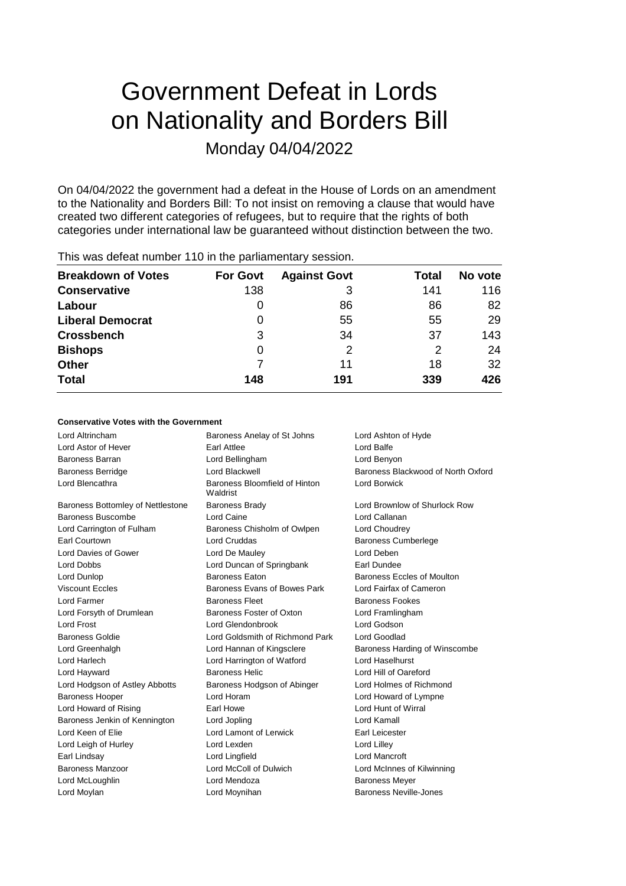# Government Defeat in Lords on Nationality and Borders Bill Monday 04/04/2022

On 04/04/2022 the government had a defeat in the House of Lords on an amendment to the Nationality and Borders Bill: To not insist on removing a clause that would have created two different categories of refugees, but to require that the rights of both categories under international law be guaranteed without distinction between the two.

| <b>Breakdown of Votes</b> | <b>For Govt</b> | <b>Against Govt</b> | Total | No vote |
|---------------------------|-----------------|---------------------|-------|---------|
| <b>Conservative</b>       | 138             | 3                   | 141   | 116     |
| Labour                    | O               | 86                  | 86    | 82      |
| <b>Liberal Democrat</b>   | 0               | 55                  | 55    | 29      |
| <b>Crossbench</b>         | 3               | 34                  | 37    | 143     |
| <b>Bishops</b>            | 0               | 2                   | 2     | 24      |
| <b>Other</b>              |                 | 11                  | 18    | 32      |
| <b>Total</b>              | 148             | 191                 | 339   | 426     |
|                           |                 |                     |       |         |

# This was defeat number 110 in the parliamentary session.

## **Conservative Votes with the Government**

| Lord Altrincham                   | Baroness Anelay of St Johns               | Lord Ashton of Hyde                |
|-----------------------------------|-------------------------------------------|------------------------------------|
| Lord Astor of Hever               | Earl Attlee                               | Lord Balfe                         |
| Baroness Barran                   | Lord Bellingham                           | Lord Benyon                        |
| <b>Baroness Berridge</b>          | Lord Blackwell                            | Baroness Blackwood of North Oxford |
| Lord Blencathra                   | Baroness Bloomfield of Hinton<br>Waldrist | Lord Borwick                       |
| Baroness Bottomley of Nettlestone | <b>Baroness Brady</b>                     | Lord Brownlow of Shurlock Row      |
| Baroness Buscombe                 | Lord Caine                                | Lord Callanan                      |
| Lord Carrington of Fulham         | Baroness Chisholm of Owlpen               | Lord Choudrey                      |
| Earl Courtown                     | Lord Cruddas                              | <b>Baroness Cumberlege</b>         |
| Lord Davies of Gower              | Lord De Mauley                            | Lord Deben                         |
| Lord Dobbs                        | Lord Duncan of Springbank                 | Earl Dundee                        |
| Lord Dunlop                       | <b>Baroness Faton</b>                     | Baroness Eccles of Moulton         |
| <b>Viscount Eccles</b>            | Baroness Evans of Bowes Park              | Lord Fairfax of Cameron            |
| Lord Farmer                       | <b>Baroness Fleet</b>                     | <b>Baroness Fookes</b>             |
| Lord Forsyth of Drumlean          | Baroness Foster of Oxton                  | Lord Framlingham                   |
| Lord Frost                        | Lord Glendonbrook                         | Lord Godson                        |
| <b>Baroness Goldie</b>            | Lord Goldsmith of Richmond Park           | Lord Goodlad                       |
| Lord Greenhalgh                   | Lord Hannan of Kingsclere                 | Baroness Harding of Winscombe      |
| Lord Harlech                      | Lord Harrington of Watford                | Lord Haselhurst                    |
| Lord Hayward                      | <b>Baroness Helic</b>                     | Lord Hill of Oareford              |
| Lord Hodgson of Astley Abbotts    | Baroness Hodgson of Abinger               | Lord Holmes of Richmond            |
| <b>Baroness Hooper</b>            | Lord Horam                                | Lord Howard of Lympne              |
| Lord Howard of Rising             | Earl Howe                                 | Lord Hunt of Wirral                |
| Baroness Jenkin of Kennington     | Lord Jopling                              | Lord Kamall                        |
| Lord Keen of Elie                 | Lord Lamont of Lerwick                    | Earl Leicester                     |
| Lord Leigh of Hurley              | Lord Lexden                               | Lord Lilley                        |
| Earl Lindsay                      | Lord Lingfield                            | Lord Mancroft                      |
| Baroness Manzoor                  | Lord McColl of Dulwich                    | Lord McInnes of Kilwinning         |
| Lord McLoughlin                   | Lord Mendoza                              | <b>Baroness Meyer</b>              |
| Lord Moylan                       | Lord Moynihan                             | <b>Baroness Neville-Jones</b>      |
|                                   |                                           |                                    |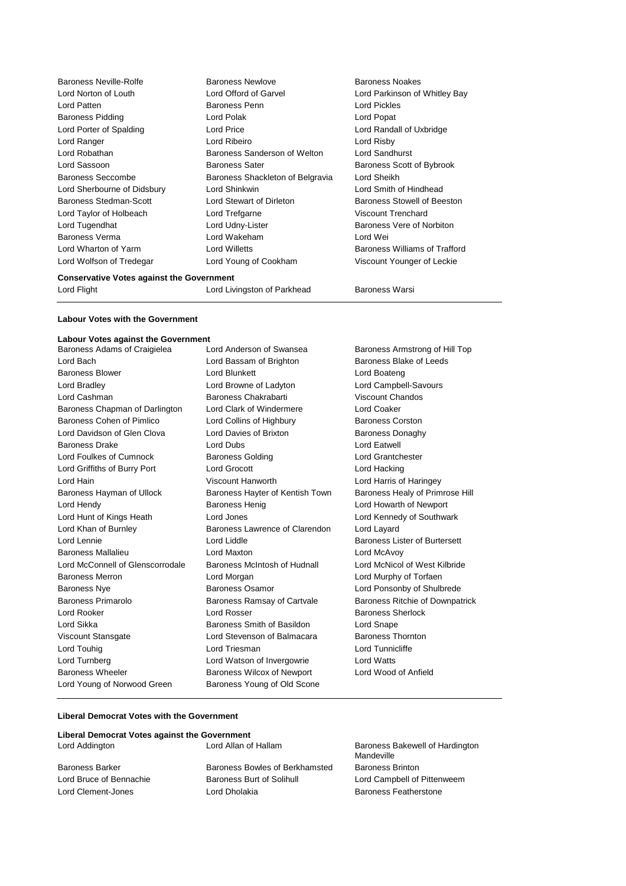| <b>Baroness Neville-Rolfe</b> | <b>Baroness Newlove</b>          | <b>Baroness Noakes</b>        |
|-------------------------------|----------------------------------|-------------------------------|
| Lord Norton of Louth          | Lord Offord of Garvel            | Lord Parkinson of Whitley Bay |
| Lord Patten                   | Baroness Penn                    | <b>Lord Pickles</b>           |
| <b>Baroness Pidding</b>       | Lord Polak                       | Lord Popat                    |
| Lord Porter of Spalding       | Lord Price                       | Lord Randall of Uxbridge      |
| Lord Ranger                   | Lord Ribeiro                     | Lord Risby                    |
| Lord Robathan                 | Baroness Sanderson of Welton     | Lord Sandhurst                |
| Lord Sassoon                  | <b>Baroness Sater</b>            | Baroness Scott of Bybrook     |
| <b>Baroness Seccombe</b>      | Baroness Shackleton of Belgravia | Lord Sheikh                   |
| Lord Sherbourne of Didsbury   | Lord Shinkwin                    | Lord Smith of Hindhead        |
| Baroness Stedman-Scott        | Lord Stewart of Dirleton         | Baroness Stowell of Beeston   |
| Lord Taylor of Holbeach       | Lord Trefgarne                   | Viscount Trenchard            |
| Lord Tugendhat                | Lord Udny-Lister                 | Baroness Vere of Norbiton     |
| Baroness Verma                | Lord Wakeham<br>Lord Wei         |                               |
| Lord Wharton of Yarm          | Lord Willetts                    | Baroness Williams of Trafford |
| Lord Wolfson of Tredegar      | Lord Young of Cookham            | Viscount Younger of Leckie    |
|                               |                                  |                               |

**Conservative Votes against the Government**

Lord Flight **Lord Livingston of Parkhead** Baroness Warsi

## **Labour Votes with the Government**

## **Labour Votes against the Government**

| Baroness Adams of Craigielea     | Lord Anderson of Swansea        | Baroness Armstrong of Hill Top         |
|----------------------------------|---------------------------------|----------------------------------------|
| Lord Bach                        | Lord Bassam of Brighton         | Baroness Blake of Leeds                |
| <b>Baroness Blower</b>           | Lord Blunkett                   | Lord Boateng                           |
| Lord Bradley                     | Lord Browne of Ladyton          | Lord Campbell-Savours                  |
| Lord Cashman                     | Baroness Chakrabarti            | <b>Viscount Chandos</b>                |
| Baroness Chapman of Darlington   | Lord Clark of Windermere        | <b>Lord Coaker</b>                     |
| Baroness Cohen of Pimlico        | Lord Collins of Highbury        | <b>Baroness Corston</b>                |
| Lord Davidson of Glen Clova      | Lord Davies of Brixton          | <b>Baroness Donaghy</b>                |
| <b>Baroness Drake</b>            | Lord Dubs                       | Lord Eatwell                           |
| Lord Foulkes of Cumnock          | <b>Baroness Golding</b>         | Lord Grantchester                      |
| Lord Griffiths of Burry Port     | <b>Lord Grocott</b>             | Lord Hacking                           |
| Lord Hain                        | Viscount Hanworth               | Lord Harris of Haringey                |
| Baroness Hayman of Ullock        | Baroness Hayter of Kentish Town | Baroness Healy of Primrose Hill        |
| Lord Hendy                       | <b>Baroness Henig</b>           | Lord Howarth of Newport                |
| Lord Hunt of Kings Heath         | Lord Jones                      | Lord Kennedy of Southwark              |
| Lord Khan of Burnley             | Baroness Lawrence of Clarendon  | Lord Layard                            |
| Lord Lennie                      | Lord Liddle                     | <b>Baroness Lister of Burtersett</b>   |
| <b>Baroness Mallalieu</b>        | Lord Maxton                     | Lord McAvoy                            |
| Lord McConnell of Glenscorrodale | Baroness McIntosh of Hudnall    | Lord McNicol of West Kilbride          |
| <b>Baroness Merron</b>           | Lord Morgan                     | Lord Murphy of Torfaen                 |
| <b>Baroness Nye</b>              | <b>Baroness Osamor</b>          | Lord Ponsonby of Shulbrede             |
| Baroness Primarolo               | Baroness Ramsay of Cartvale     | <b>Baroness Ritchie of Downpatrick</b> |
| Lord Rooker                      | Lord Rosser                     | <b>Baroness Sherlock</b>               |
| Lord Sikka                       | Baroness Smith of Basildon      | Lord Snape                             |
| Viscount Stansgate               | Lord Stevenson of Balmacara     | <b>Baroness Thornton</b>               |
| Lord Touhig                      | Lord Triesman                   | Lord Tunnicliffe                       |
| Lord Turnberg                    | Lord Watson of Invergowrie      | <b>Lord Watts</b>                      |
| Baroness Wheeler                 | Baroness Wilcox of Newport      | Lord Wood of Anfield                   |
| Lord Young of Norwood Green      | Baroness Young of Old Scone     |                                        |

## **Liberal Democrat Votes with the Government**

| Liberal Democrat Votes against the Government |                              |
|-----------------------------------------------|------------------------------|
| Lord Addington<br>Lord Allan of Hallam        |                              |
| Baroness Bowles of Berkhamsted                | <b>Baroness Brinton</b>      |
| Baroness Burt of Solihull                     | Lord Campbell of Pittenweem  |
| Lord Dholakia                                 | <b>Baroness Featherstone</b> |
|                                               |                              |